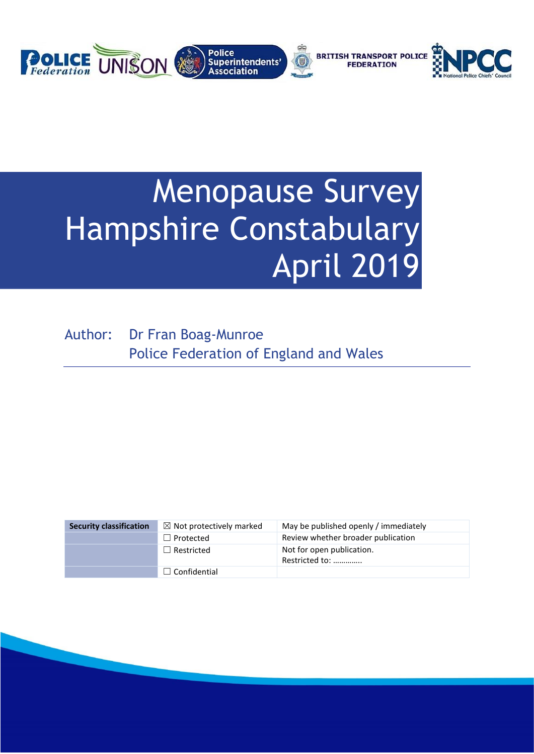

# Menopause Survey Hampshire Constabulary April 2019

Author: Dr Fran Boag-Munroe Police Federation of England and Wales

| <b>Security classification</b> | $\boxtimes$ Not protectively marked | May be published openly / immediately       |
|--------------------------------|-------------------------------------|---------------------------------------------|
|                                | $\Box$ Protected                    | Review whether broader publication          |
|                                | $\Box$ Restricted                   | Not for open publication.<br>Restricted to: |
|                                | $\Box$ Confidential                 |                                             |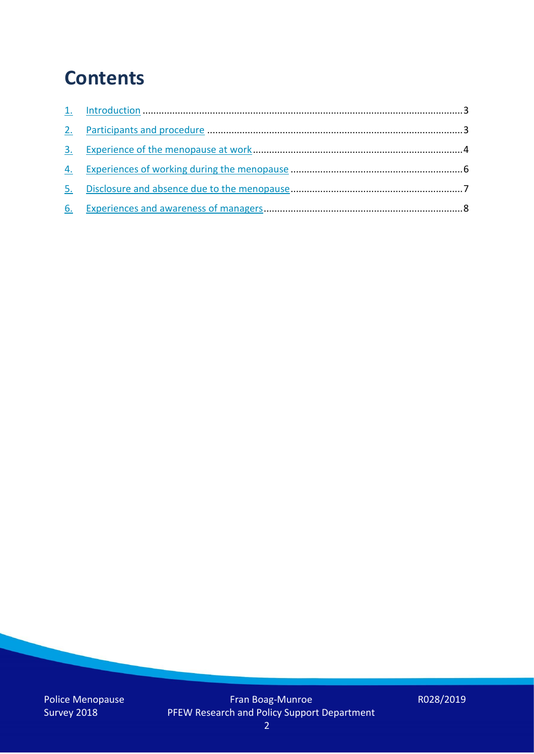### **Contents**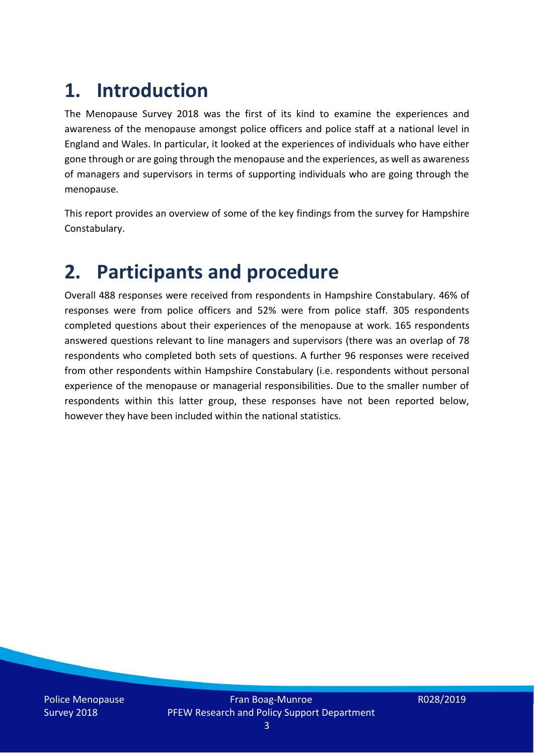### **1. Introduction**

The Menopause Survey 2018 was the first of its kind to examine the experiences and awareness of the menopause amongst police officers and police staff at a national level in England and Wales. In particular, it looked at the experiences of individuals who have either gone through or are going through the menopause and the experiences, as well as awareness of managers and supervisors in terms of supporting individuals who are going through the menopause.

This report provides an overview of some of the key findings from the survey for Hampshire Constabulary.

### **2. Participants and procedure**

Overall 488 responses were received from respondents in Hampshire Constabulary. 46% of responses were from police officers and 52% were from police staff. 305 respondents completed questions about their experiences of the menopause at work. 165 respondents answered questions relevant to line managers and supervisors (there was an overlap of 78 respondents who completed both sets of questions. A further 96 responses were received from other respondents within Hampshire Constabulary (i.e. respondents without personal experience of the menopause or managerial responsibilities. Due to the smaller number of respondents within this latter group, these responses have not been reported below, however they have been included within the national statistics.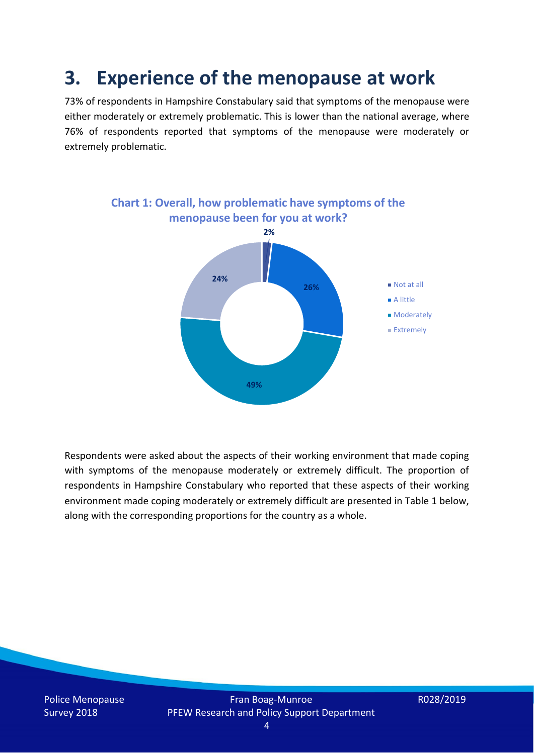### **3. Experience of the menopause at work**

73% of respondents in Hampshire Constabulary said that symptoms of the menopause were either moderately or extremely problematic. This is lower than the national average, where 76% of respondents reported that symptoms of the menopause were moderately or extremely problematic.



Respondents were asked about the aspects of their working environment that made coping with symptoms of the menopause moderately or extremely difficult. The proportion of respondents in Hampshire Constabulary who reported that these aspects of their working environment made coping moderately or extremely difficult are presented in Table 1 below, along with the corresponding proportions for the country as a whole.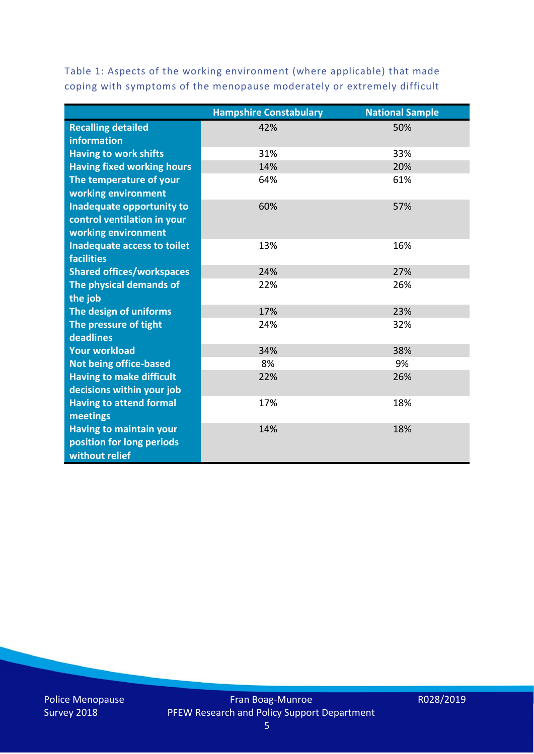Table 1: Aspects of the working environment (where applicable) that made coping with symptoms of the menopause moderately or extremely difficult

|                                   | <b>Hampshire Constabulary</b> | <b>National Sample</b> |
|-----------------------------------|-------------------------------|------------------------|
| <b>Recalling detailed</b>         | 42%                           | 50%                    |
| <b>information</b>                |                               |                        |
| <b>Having to work shifts</b>      | 31%                           | 33%                    |
| <b>Having fixed working hours</b> | 14%                           | 20%                    |
| The temperature of your           | 64%                           | 61%                    |
| working environment               |                               |                        |
| Inadequate opportunity to         | 60%                           | 57%                    |
| control ventilation in your       |                               |                        |
| working environment               |                               |                        |
| Inadequate access to toilet       | 13%                           | 16%                    |
| <b>facilities</b>                 |                               |                        |
| <b>Shared offices/workspaces</b>  | 24%                           | 27%                    |
| The physical demands of           | 22%                           | 26%                    |
| the job                           |                               |                        |
| The design of uniforms            | 17%                           | 23%                    |
| The pressure of tight             | 24%                           | 32%                    |
| deadlines                         |                               |                        |
| <b>Your workload</b>              | 34%                           | 38%                    |
| <b>Not being office-based</b>     | 8%                            | 9%                     |
| <b>Having to make difficult</b>   | 22%                           | 26%                    |
| decisions within your job         |                               |                        |
| <b>Having to attend formal</b>    | 17%                           | 18%                    |
| meetings                          |                               |                        |
| <b>Having to maintain your</b>    | 14%                           | 18%                    |
| position for long periods         |                               |                        |
| without relief                    |                               |                        |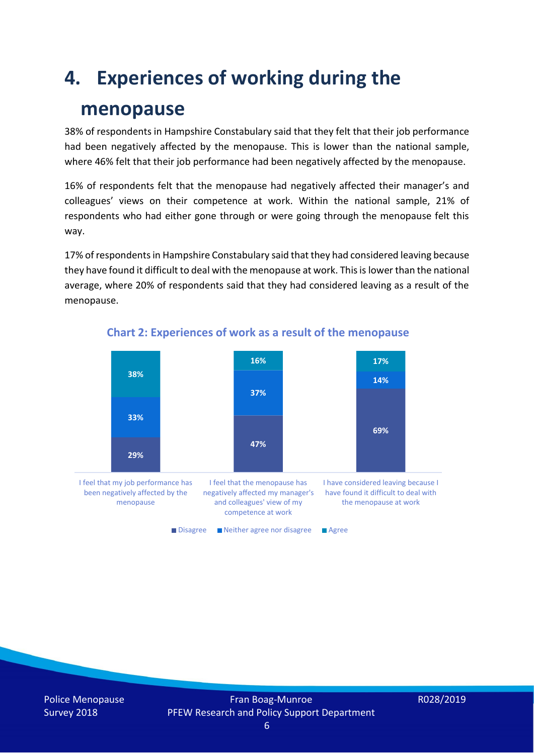### **4. Experiences of working during the**

#### **menopause**

38% of respondents in Hampshire Constabulary said that they felt that their job performance had been negatively affected by the menopause. This is lower than the national sample, where 46% felt that their job performance had been negatively affected by the menopause.

16% of respondents felt that the menopause had negatively affected their manager's and colleagues' views on their competence at work. Within the national sample, 21% of respondents who had either gone through or were going through the menopause felt this way.

17% of respondents in Hampshire Constabulary said that they had considered leaving because they have found it difficult to deal with the menopause at work. This is lower than the national average, where 20% of respondents said that they had considered leaving as a result of the menopause.



#### **Chart 2: Experiences of work as a result of the menopause**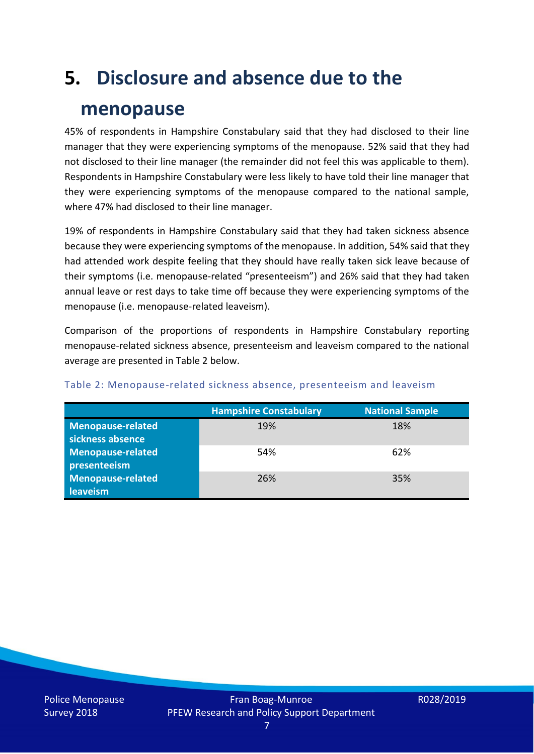## **5. Disclosure and absence due to the**

#### **menopause**

45% of respondents in Hampshire Constabulary said that they had disclosed to their line manager that they were experiencing symptoms of the menopause. 52% said that they had not disclosed to their line manager (the remainder did not feel this was applicable to them). Respondents in Hampshire Constabulary were less likely to have told their line manager that they were experiencing symptoms of the menopause compared to the national sample, where 47% had disclosed to their line manager.

19% of respondents in Hampshire Constabulary said that they had taken sickness absence because they were experiencing symptoms of the menopause. In addition, 54% said that they had attended work despite feeling that they should have really taken sick leave because of their symptoms (i.e. menopause-related "presenteeism") and 26% said that they had taken annual leave or rest days to take time off because they were experiencing symptoms of the menopause (i.e. menopause-related leaveism).

Comparison of the proportions of respondents in Hampshire Constabulary reporting menopause-related sickness absence, presenteeism and leaveism compared to the national average are presented in Table 2 below.

|                          | <b>Hampshire Constabulary</b> | <b>National Sample</b> |
|--------------------------|-------------------------------|------------------------|
| <b>Menopause-related</b> | 19%                           | 18%                    |
| sickness absence         |                               |                        |
| Menopause-related        | 54%                           | 62%                    |
| presenteeism             |                               |                        |
| <b>Menopause-related</b> | 26%                           | 35%                    |
| leaveism                 |                               |                        |

#### Table 2: Menopause-related sickness absence, presenteeism and leaveism